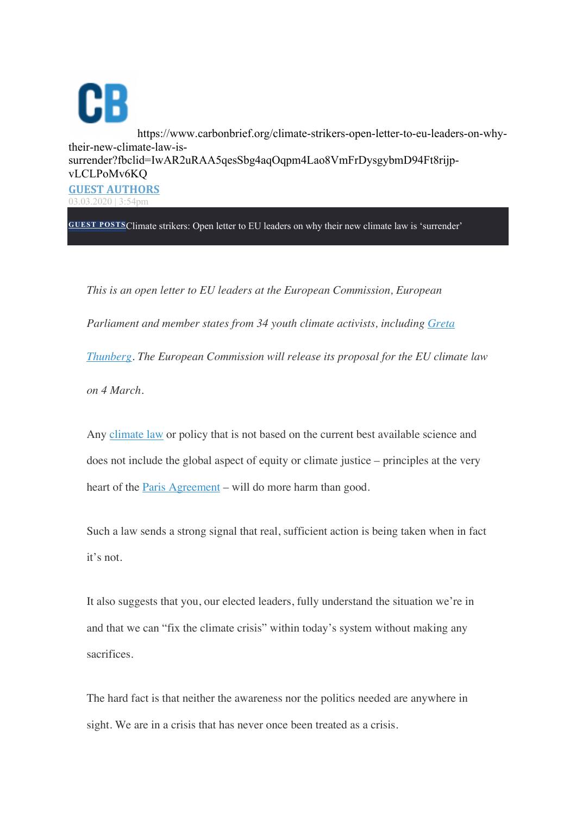CB https://www.carbonbrief.org/climate-strikers-open-letter-to-eu-leaders-on-whytheir-new-climate-law-issurrender?fbclid=IwAR2uRAA5qesSbg4aqOqpm4Lao8VmFrDysgybmD94Ft8rijpvLCLPoMv6KQ **GUEST AUTHORS** 03.03.2020 | 3:54pm

**GUEST POSTS**Climate strikers: Open letter to EU leaders on why their new climate law is 'surrender'

*This is an open letter to EU leaders at the European Commission, European Parliament and member states from 34 youth climate activists, including Greta Thunberg. The European Commission will release its proposal for the EU climate law on 4 March.*

Any climate law or policy that is not based on the current best available science and does not include the global aspect of equity or climate justice – principles at the very heart of the Paris Agreement – will do more harm than good.

Such a law sends a strong signal that real, sufficient action is being taken when in fact it's not.

It also suggests that you, our elected leaders, fully understand the situation we're in and that we can "fix the climate crisis" within today's system without making any sacrifices.

The hard fact is that neither the awareness nor the politics needed are anywhere in sight. We are in a crisis that has never once been treated as a crisis.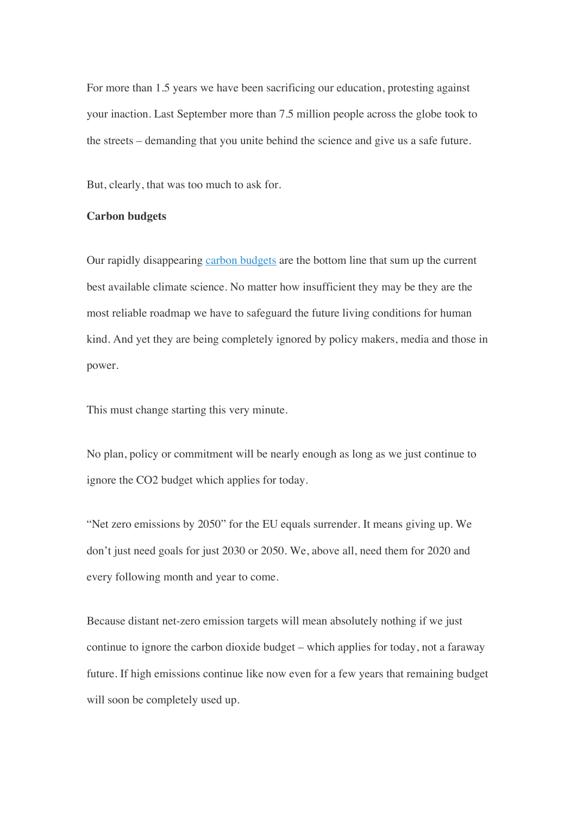For more than 1.5 years we have been sacrificing our education, protesting against your inaction. Last September more than 7.5 million people across the globe took to the streets – demanding that you unite behind the science and give us a safe future.

But, clearly, that was too much to ask for.

## **Carbon budgets**

Our rapidly disappearing carbon budgets are the bottom line that sum up the current best available climate science. No matter how insufficient they may be they are the most reliable roadmap we have to safeguard the future living conditions for human kind. And yet they are being completely ignored by policy makers, media and those in power.

This must change starting this very minute.

No plan, policy or commitment will be nearly enough as long as we just continue to ignore the CO2 budget which applies for today.

"Net zero emissions by 2050" for the EU equals surrender. It means giving up. We don't just need goals for just 2030 or 2050. We, above all, need them for 2020 and every following month and year to come.

Because distant net-zero emission targets will mean absolutely nothing if we just continue to ignore the carbon dioxide budget – which applies for today, not a faraway future. If high emissions continue like now even for a few years that remaining budget will soon be completely used up.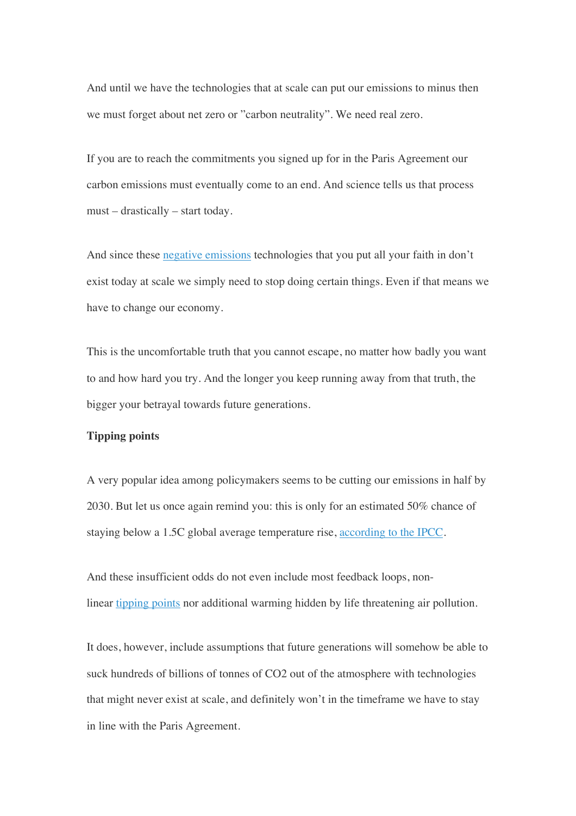And until we have the technologies that at scale can put our emissions to minus then we must forget about net zero or "carbon neutrality". We need real zero.

If you are to reach the commitments you signed up for in the Paris Agreement our carbon emissions must eventually come to an end. And science tells us that process must – drastically – start today.

And since these negative emissions technologies that you put all your faith in don't exist today at scale we simply need to stop doing certain things. Even if that means we have to change our economy.

This is the uncomfortable truth that you cannot escape, no matter how badly you want to and how hard you try. And the longer you keep running away from that truth, the bigger your betrayal towards future generations.

## **Tipping points**

A very popular idea among policymakers seems to be cutting our emissions in half by 2030. But let us once again remind you: this is only for an estimated 50% chance of staying below a 1.5C global average temperature rise, according to the IPCC.

And these insufficient odds do not even include most feedback loops, nonlinear tipping points nor additional warming hidden by life threatening air pollution.

It does, however, include assumptions that future generations will somehow be able to suck hundreds of billions of tonnes of CO2 out of the atmosphere with technologies that might never exist at scale, and definitely won't in the timeframe we have to stay in line with the Paris Agreement.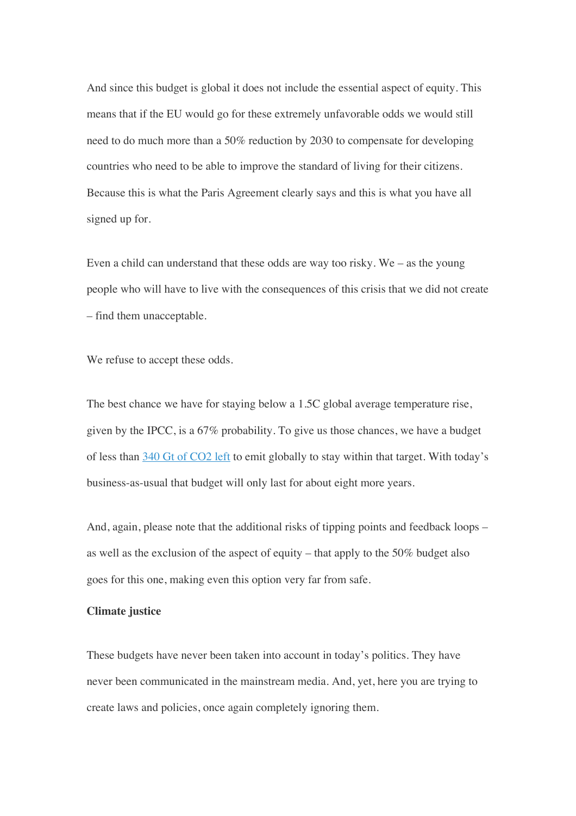And since this budget is global it does not include the essential aspect of equity. This means that if the EU would go for these extremely unfavorable odds we would still need to do much more than a 50% reduction by 2030 to compensate for developing countries who need to be able to improve the standard of living for their citizens. Because this is what the Paris Agreement clearly says and this is what you have all signed up for.

Even a child can understand that these odds are way too risky. We – as the young people who will have to live with the consequences of this crisis that we did not create – find them unacceptable.

We refuse to accept these odds.

The best chance we have for staying below a 1.5C global average temperature rise, given by the IPCC, is a 67% probability. To give us those chances, we have a budget of less than 340 Gt of CO2 left to emit globally to stay within that target. With today's business-as-usual that budget will only last for about eight more years.

And, again, please note that the additional risks of tipping points and feedback loops – as well as the exclusion of the aspect of equity – that apply to the 50% budget also goes for this one, making even this option very far from safe.

## **Climate justice**

These budgets have never been taken into account in today's politics. They have never been communicated in the mainstream media. And, yet, here you are trying to create laws and policies, once again completely ignoring them.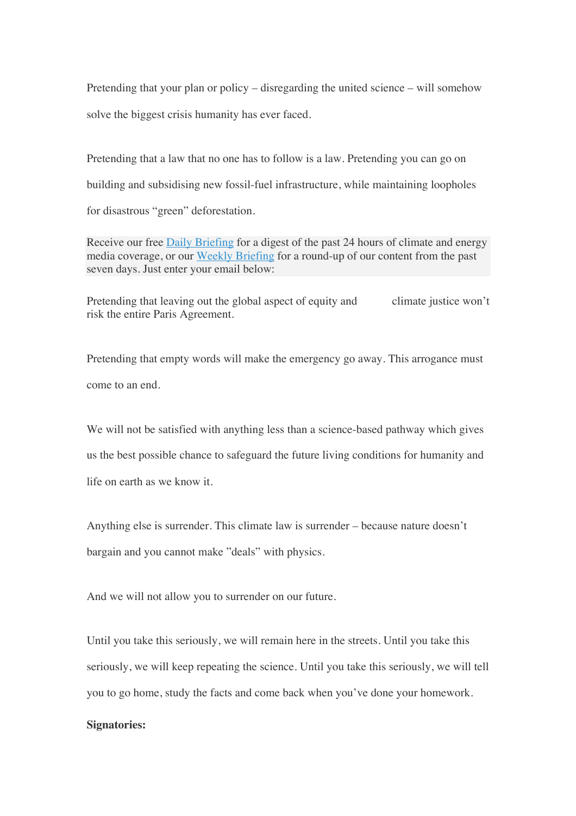Pretending that your plan or policy – disregarding the united science – will somehow solve the biggest crisis humanity has ever faced.

Pretending that a law that no one has to follow is a law. Pretending you can go on building and subsidising new fossil-fuel infrastructure, while maintaining loopholes for disastrous "green" deforestation.

Receive our free Daily Briefing for a digest of the past 24 hours of climate and energy media coverage, or our Weekly Briefing for a round-up of our content from the past seven days. Just enter your email below:

Pretending that leaving out the global aspect of equity and climate justice won't risk the entire Paris Agreement.

Pretending that empty words will make the emergency go away. This arrogance must come to an end.

We will not be satisfied with anything less than a science-based pathway which gives us the best possible chance to safeguard the future living conditions for humanity and life on earth as we know it.

Anything else is surrender. This climate law is surrender – because nature doesn't bargain and you cannot make "deals" with physics.

And we will not allow you to surrender on our future.

Until you take this seriously, we will remain here in the streets. Until you take this seriously, we will keep repeating the science. Until you take this seriously, we will tell you to go home, study the facts and come back when you've done your homework.

## **Signatories:**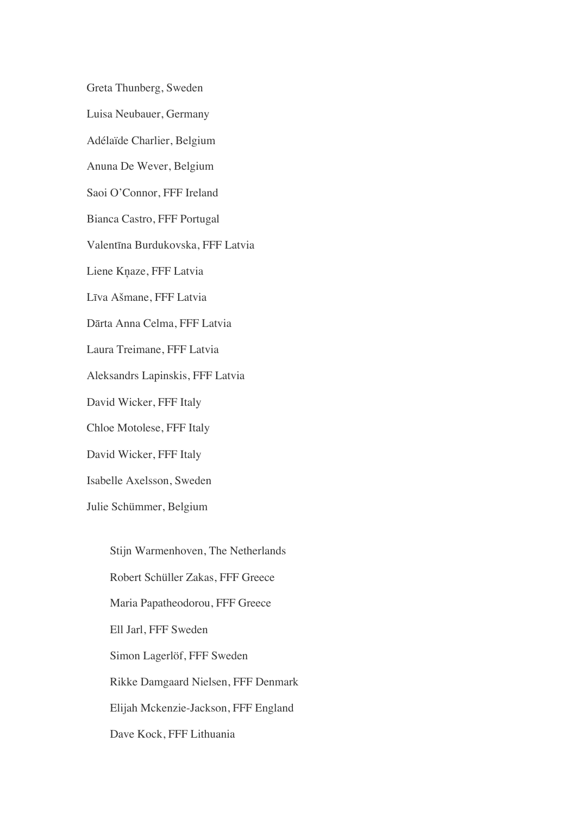Greta Thunberg, Sweden

Luisa Neubauer, Germany

Adélaïde Charlier, Belgium

Anuna De Wever, Belgium

Saoi O'Connor, FFF Ireland

Bianca Castro, FFF Portugal

Valentīna Burdukovska, FFF Latvia

Liene Kņaze, FFF Latvia

Līva Ašmane, FFF Latvia

Dārta Anna Celma, FFF Latvia

Laura Treimane, FFF Latvia

Aleksandrs Lapinskis, FFF Latvia

David Wicker, FFF Italy

Chloe Motolese, FFF Italy

David Wicker, FFF Italy

Isabelle Axelsson, Sweden

Julie Schümmer, Belgium

Stijn Warmenhoven, The Netherlands Robert Schüller Zakas, FFF Greece Maria Papatheodorou, FFF Greece Ell Jarl, FFF Sweden Simon Lagerlöf, FFF Sweden Rikke Damgaard Nielsen, FFF Denmark Elijah Mckenzie-Jackson, FFF England Dave Kock, FFF Lithuania